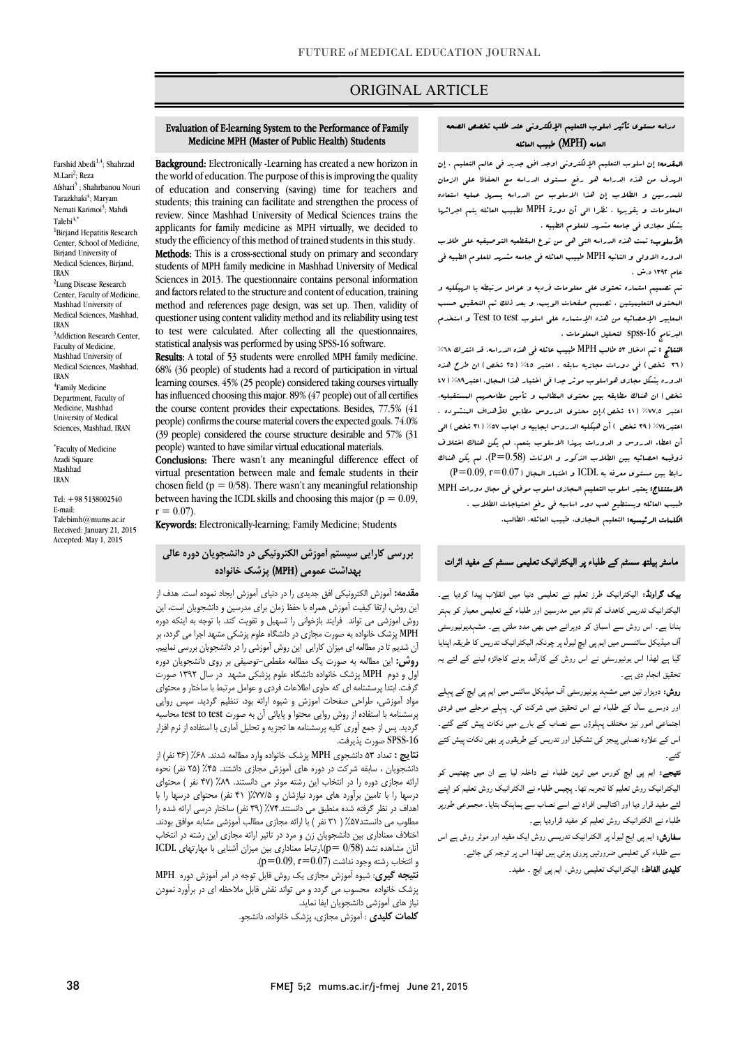## ORIGINAL ARTICLE

### دراسه مستوي تأثیر اسلوب التعلیم الإلکترونی عند طلب تخصص الصحه العامه (MPH (طبیب العائله

Ī

 المقدمه: إن اسلوب التعلیم الإلکترونی اوجد افق جدید فی عالم التعلیم . إن الرسوف من هذه الدراسه هو رفع مستوى الدراسه مع الحفاظ على الزمان<br>. المعلومات و یقویها . نظرا الی أن دورة MPH لطبیب العائله یتم اجرائها بشکل مجازي فی جامعه مشهد للعلوم الطبیه . للمدرسین و الطلاب إن هذا الاسلوب من الدراسه یسهل عملیه استعاده

 الأسلوب: تمت هذه الدراسه التی هی من نوع المقطعیه التوصیفیه علی طلاب الدوره الاولی و الثانیه MPH طبیب العائله فی جامعه مشهد للعلوم الطبیه فی عام 1392 ه.ش .

 تم تصمیم استماره تحتوي علی معلومات فردیه و عوامل مرتبطه با الهیکلیه و المعاییر الإحصائیه من هذه الإستماره علی اسلوب test to Test و استخدم البرنامج spss-16 لتحلیل البعلومات . المحتوي التعلیمیتین ، تصمیم صفحات الویب. و بعد ذلک تم التحقیق حسب

 النتائج : تم ادخال 53 طالب MPH طبیب عائله فی هذه الدراسه. قد اشترك %68 (٣٦ شخص) فی دورات مجازیه سابقه . اعتبر ٤٥% (٢٥ شخص) ان طرح هذه الدوره بشکل مجازي هواسلوب موثر جدا فی اختبار هذا المجال. اعتبر%89 (47 شخص) ان هناك مطابقه بین محتوي المطالب و تأمین مطامحهم المستقبلیه، اعتبر%74 (39 شخص ) أن هیکلیه الدروس ایجابیه و اجاب %57 (31 شخص) الی أن اعطاء الدروس و الدورات بهذا الاسلوب بنعم. لم یکن هناك اختلاف ذوقیمه احصائیه بین الطلاب الذکور و الاناث (0.58=P(، لم یکن هناك  $(\mathrm{P}{=}\,0.09,\mathrm{r}{=}\,0.07\,)$  رابط بین مستوی معرفه به  $\mathrm{ICDL}$  و اختبار البجال الاستنتاج: یعتبر اسلوب التعلیم المجازي اسلوب موفق فی مجال دورات MPH طبیب العائله ویستطیع لعب دور اساسیه فی رفع احتیاجات الطلاب . ا**لکلمات الرئیسیه:** التعلیم الىجازى، طبیب العائله، الطالب.<br>. اعتبر %77,5 (41 شخص).إن محتوي الدروس مطابق للأهداف المنشوده .

#### ماسٹر ہیلتھ سسٹم کے طلباء پر الیکٹرانیک تعلیمی سسٹم کے مفید اثرات

**یپک گراونڈ:** الیکٹرانیک طرز تعلیم نے تعلیمی دنیا میں انقلاب پیدا کردیا ہے۔<br>. الیکٹرانیک تدریس کاهدف کم ثائم میں مدرسین اور طلباء کے تعلیمی معیار کو بہتر<br>۔ . اے اس ورد ن کے اس ورد بار کے اس میں اس میں اس کے اس کے اس میں اس ورد ن کی<br>آف میڈیکل سائنسس میں ایم پی ایچ لیول پر چونکہ الیکٹرانیک تدریس کا طریقہ اپنایا ا اس ر اس روش رآ ہ ۔<br>بنانا ہے۔ اس روش سے اسباق کو دوہرانے میں بھی مدد ملتی ہے۔ مشہدیونیورسٹی تحقیق انجام دی ہے۔

**روش:** دوہزار تین میں مشہد یونیورسٹی آف میڈیکل سائنس میں ایم پی ایچ کے پہلے اور دوسر<sub>ے</sub> سال کے طلباء نے اس تحقیق میں شرکت کی۔ پہلے مرحلے میں فردی اجتماعی امور نیز مختلف پہلوؤں سے نصاب کے بارے میں نکات پیش کئے گئے۔ اس کے علاوہ نصابی پیجز کی تشکیل اور تدریس کے طریقوں پر بھی نکات پیش کئے گئے۔

**تیجے:** ایم پی ایچ کورس میں ترپن طلباء نے داخلہ لیا ہے ان میں چھتیس کو<br>۔ ۔ د اور اس سے مسلم کرنے کی اس میں اس کے اس کے اس کے اس کے اس کے اس کے اس کے اس کے اس کے لیے اس کے لیے اس کے لی<br>ایئے مفید قرار دیا اور اکتالیس افراد نے اسے نصاب سے ہماہنگ بتایا۔ مجموعی طورپر ے مستقبلہ کے مستقبل ہوتا ہے۔<br>طلباء نے الکٹرانیک روش تعلیم کو مفید قراردیا ہے۔ الیکٹرانیک روش تعلیم کا تجربہ تھا۔ پچیس طلباء نے الکٹرانیک روش تعلیم کو اپنے

**سفارش:** ایم پی ایج لیول پر الکٹرانیک تدریسی روش ایک مفید اور موثر روش ہے اس سے طلباء کی تعلیمی ضرورتیں پوری ہوتی ہیں لھذا اس پر توجہ کی جائے۔ **کلیدی الفاظ:** الیکٹرانیک تعلیمی روش، ایم پی ایچ ۔ مفید۔

# Evaluation of E-learning System to the Performance of Family Medicine MPH (Master of Public Health) Students

i

 Background: Electronically -Learning has created a new horizon in of education and conserving (saving) time for teachers and students; this training can facilitate and strengthen the process of applicants for family medicine as MPH virtually, we decided to study the efficiency of this method of trained students in this study. Methods: This is a cross-sectional study on primary and secondary Sciences in 2013. The questionnaire contains personal information and factors related to the structure and content of education, training method and references page design, was set up. Then, vandaly or questioner using content validity method and its reliability using test to test were calculated. After collecting all the questionnaires, statistical analysis was performed by using SPSS-16 software. the world of education. The purpose of this is improving the quality review. Since Mashhad University of Medical Sciences trains the students of MPH family medicine in Mashhad University of Medical method and references page design, was set up. Then, validity of

 68% (36 people) of students had a record of participation in virtual learning courses. 45% (25 people) considered taking courses virtually the course content provides their expectations. Besides,  $77.5\%$  (41 people) confirms the course material covers the expected goals. 74.0% (39 people) considered the course structure desirable and 57% (31 Results: A total of 53 students were enrolled MPH family medicine. has influenced choosing this major. 89% (47 people) out of all certifies people) wanted to have similar virtual educational materials.

**Conclusions:** There wasn't any meaningful difference effect of virtual presentation between male and female students in their Enosen held  $(p - 0/96)$ . There wasn't any meaning in relationship<br>between having the ICDL skills and choosing this major ( $p = 0.09$ , chosen field ( $p = 0/58$ ). There wasn't any meaningful relationship  $r = 0.07$ .

Keywords: Electronically-learning; Family Medicine; Students

# بررسی کارایی سیستم آموزش الکترونیکی در دانشجویان دوره عالی .<br>. بهداشت عمومی (MPH) پزشک خانواده<br>.

 مقدمه: آموزش الکترونیکی افق جدیدي را در دنیاي آموزش ایجاد نموده است. هدف از روش اموزشی می تواند فرایند بازخوانی را تسهیل و تقویت کند. با توجه به اینکه دوره MPH پزشک خانواده به صورت مجازي در دانشگاه علوم پزشکی مشهد اجرا می گردد، بر آن شدیم تا در مطالعه اي میزان کارایی این روش آموزشی را در دانشجویان بررسی نماییم. اول و دوم MPH پزشک خانواده دانشگاه علوم پزشکی مشهد در سال 1392 صورت گرفت. ابتدا پرسشنامه اي که حاوي اطلاعات فردي و عوامل مرتبط با ساختار و محتواي مواد آموزشی، طراحی صفحات اموزش و شیوه ارائه بود، تنظیم گردید. سپس روایی گردید. پس از جمع آوري کلیه پرسشنامه ها تجزیه و تحلیل آماري با استفاده از نرم افزار این روش، ارتقا کیفیت آموزش همراه با حفظ زمان براي مدرسین و دانشجویان است، این روش: این مطالعه به صورت یک مطالعه مقطعی-توصیفی بر روي دانشجویان دوره پرسشنامه با استفاده از روش روایی محتوا و پایائی آن به صورت test to test محاسبه -16SPSS صورت پذیرفت.

 نتایج : تعداد 53 دانشجوي MPH پزشک خانواده وارد مطالعه شدند. %68 (36 نفر) از ارائه مجازي دوره را در انتخاب این رشته موثر می دانستند. %89 (47 نفر ) محتواي درسها را با تامین برآورد هاي مورد نیازشان و %77/5( 41 نفر) محتواي درسها را با اهداف در نظر گرفته شده منطبق می دانستند%74. (39 نفر) ساختار درسی ارائه شده را اختلاف معناداري بین دانشجویان زن و مرد در تاثیر ارائه مجازي این رشته در انتخاب  ${\rm ICDL}$  آنان مشاهده نشد  ${\rm p}=({\rm p}=0/58)$ .ارتباط معناداری بین میزان آشنایی با مهارتهای دانشجویان ، سابقه شرکت در دوره هاي آموزش مجازي داشتند. %45 (25 نفر) نحوه مطلوب می دانستند%57 ( 31 نفر ) با ارائه مجازي مطالب آموزشی مشابه موافق بودند.  $(p=0.09, r=0.07)$ و انتخاب رشته وجود نداشت (0.07 $p=$ 

و اسحاب رسته وجود نداشت ( ، د.ن ۰ م.ز.ن ۰ م.<br>ل**تیجه گیری**: شیوه آموزش مجازی یک روش قابل توجه در امر آموزش دوره MPH پزشک خانواده محسوب می گردد و می تواند نقش قابل ملاحظه اي در برآورد نمودن نیاز هاي آموزشی دانشجویان ایفا نماید.

کلمات کلیدي : آموزش مجازي، پزشک خانواده، دانشجو.

Farshid Abedi<sup>1,4</sup>; Shahrzad Afshari<sup>3</sup>: Shahrbanou Nouri Tarazkhaki<sup>4</sup>; Maryam Nemati Karimoi<sup>3</sup>; Mahdi <sup>1</sup>Birjand Hepatitis Research Center, School of Medicine, Birjand University of Medical Sciences, Birjand, <sup>2</sup>Lung Disease Research Center, Faculty of Medicine Mashhad University of Medical Sciences, Mashhad, <sup>3</sup>Addiction Research Center, Faculty of Medicine, Mashhad University of Medical Sciences, Mashhad, 4 Family Medicine

Department, Faculty of Medicine, Mashhad University of Medical Sciences, Mashhad, IRAN

M.Lari<sup>2</sup>; Reza

 $Talebi<sup>4,*</sup>$ 

IRAN

IRAN

IRAN

\* Faculty of Medicine Azadi Square Mashhad IRAN

Tel: +98 5138002540 E-mail: Talebimh@mums.ac.ir Received: January 21, 2015 Accepted: May 1, 2015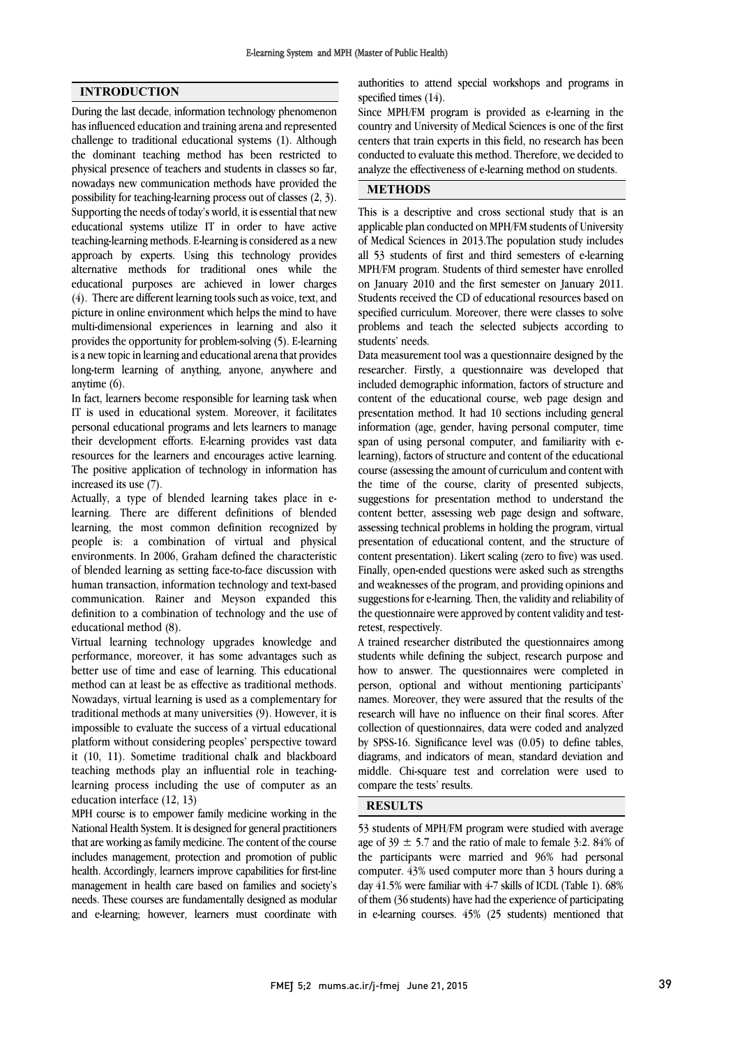İ .

### INTRODUCTION

During the last decade, information technology phenomenon has influenced education and training arena and represented challenge to traditional educational systems (1). Although the dominant teaching method has been restricted to physical presence of teachers and students in classes so far, nowadays new communication methods have provided the possibility for teaching-learning process out of classes (2, 3). Supporting the needs of today's world, it is essential that new educational systems utilize IT in order to have active teaching-learning methods. E-learning is considered as a new approach by experts. Using this technology provides alternative methods for traditional ones while the educational purposes are achieved in lower charges (4). There are different learning tools such as voice, text, and picture in online environment which helps the mind to have multi-dimensional experiences in learning and also it provides the opportunity for problem-solving (5). E-learning is a new topic in learning and educational arena that provides long-term learning of anything, anyone, anywhere and anytime (6).

In fact, learners become responsible for learning task when IT is used in educational system. Moreover, it facilitates personal educational programs and lets learners to manage their development efforts. E-learning provides vast data resources for the learners and encourages active learning. The positive application of technology in information has increased its use (7).

Actually, a type of blended learning takes place in elearning. There are different definitions of blended learning, the most common definition recognized by people is: a combination of virtual and physical environments. In 2006, Graham defined the characteristic of blended learning as setting face-to-face discussion with human transaction, information technology and text-based communication. Rainer and Meyson expanded this definition to a combination of technology and the use of educational method (8).

Virtual learning technology upgrades knowledge and performance, moreover, it has some advantages such as better use of time and ease of learning. This educational method can at least be as effective as traditional methods. Nowadays, virtual learning is used as a complementary for traditional methods at many universities (9). However, it is impossible to evaluate the success of a virtual educational platform without considering peoples' perspective toward it (10, 11). Sometime traditional chalk and blackboard teaching methods play an influential role in teachinglearning process including the use of computer as an education interface (12, 13)

MPH course is to empower family medicine working in the National Health System. It is designed for general practitioners that are working as family medicine. The content of the course includes management, protection and promotion of public health. Accordingly, learners improve capabilities for first-line management in health care based on families and society's needs. These courses are fundamentally designed as modular and e-learning; however, learners must coordinate with

 authorities to attend special workshops and programs in specified times (14).

 Since MPH/FM program is provided as e-learning in the centers that train experts in this field, no research has been conducted to evaluate this method. Therefore, we decided to analyze the effectiveness of e-learning method on students. country and University of Medical Sciences is one of the first

# METHODS

 This is a descriptive and cross sectional study that is an applicable plan conducted on MPH/FM students of University of Medical Sciences in 2013.The population study includes all 53 students of first and third semesters of e-learning on January 2010 and the first semester on January 2011. Students received the CD of educational resources based on specified curriculum. Moreover, there were classes to solve problems and teach the selected subjects according to MPH/FM program. Students of third semester have enrolled students' needs.

 Data measurement tool was a questionnaire designed by the researcher. Firstly, a questionnaire was developed that included demographic information, factors of structure and content of the educational course, web page design and information (age, gender, having personal computer, time span of using personal computer, and familiarity with e- learning), factors of structure and content of the educational course (assessing the amount of curriculum and content with suggestions for presentation method to understand the content better, assessing web page design and software, assessing technical problems in holding the program, virtual presentation of educational content, and the structure of Finally, open-ended questions were asked such as strengths and weaknesses of the program, and providing opinions and suggestions for e-learning. Then, the validity and reliability of the questionnaire were approved by content validity and testpresentation method. It had 10 sections including general the time of the course, clarity of presented subjects, content presentation). Likert scaling (zero to five) was used. retest, respectively.

 A trained researcher distributed the questionnaires among students while defining the subject, research purpose and how to answer. The questionnaires were completed in person, optional and without mentioning participants' research will have no influence on their final scores. After collection of questionnaires, data were coded and analyzed by SPSS-16. Significance level was (0.05) to define tables, diagrams, and indicators of mean, standard deviation and compare the tests' results. names. Moreover, they were assured that the results of the middle. Chi-square test and correlation were used to

### j RESULTS

 53 students of MPH/FM program were studied with average the participants were married and  $96\%$  had personal computer. 43% used computer more than 3 hours during a day 41.5% were familiar with 4-7 skills of ICDL (Table 1). 68% of them (36 students) have had the experience of participating in e-learning courses. 45% (25 students) mentioned that age of 39  $\pm$  5.7 and the ratio of male to female 3:2. 84% of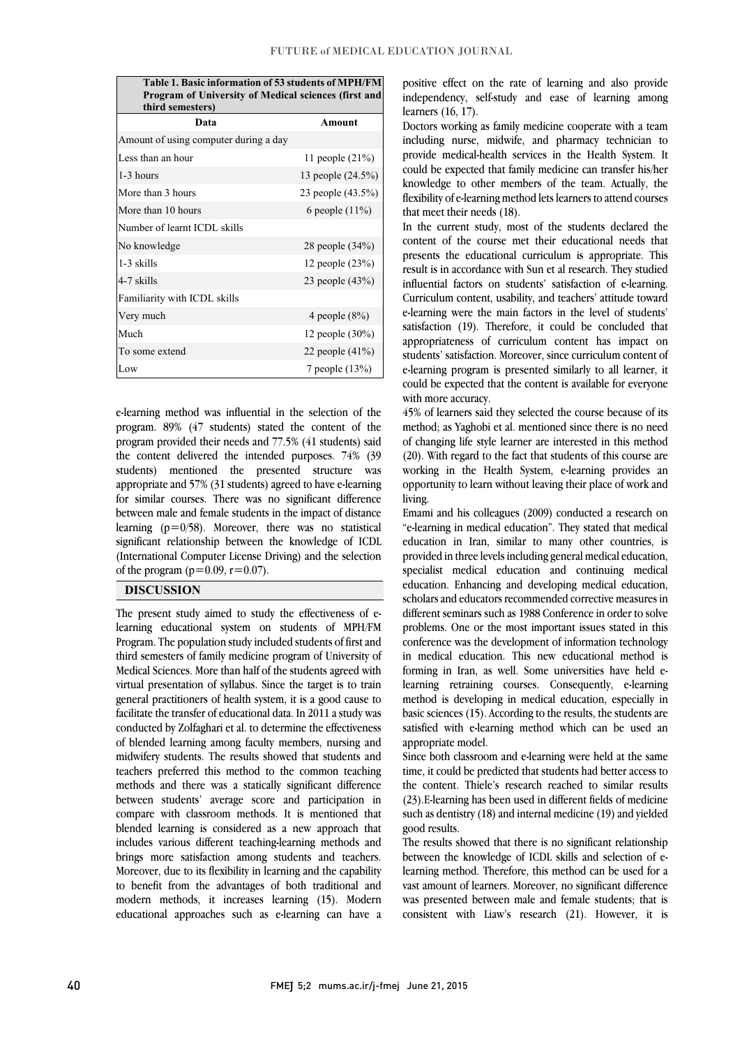Table 1. Basic information of 53 students of MPH/FM Program of University of Medical sciences (first and third semesters)

| Data                                  | Amount             |
|---------------------------------------|--------------------|
| Amount of using computer during a day |                    |
| Less than an hour                     | 11 people $(21\%)$ |
| $1-3$ hours                           | 13 people (24.5%)  |
| More than 3 hours                     | 23 people (43.5%)  |
| More than 10 hours                    | 6 people $(11\%)$  |
| Number of learnt ICDL skills          |                    |
| No knowledge                          | 28 people (34%)    |
| $1-3$ skills                          | 12 people (23%)    |
| 4-7 skills                            | 23 people (43%)    |
| Familiarity with ICDL skills          |                    |
| Very much                             | 4 people $(8\%)$   |
| Much                                  | 12 people (30%)    |
| To some extend                        | 22 people $(41\%)$ |
| Low                                   | 7 people (13%)     |

 program. 89% (47 students) stated the content of the program provided their needs and 77.5% (41 students) said the content delivered the intended purposes. 74% (39 students) mentioned the presented structure was appropriate and 37% (31 statems) agreed to have elements. between male and female students in the impact of distance learning  $(p=0/58)$ . Moreover, there was no statistical significant relationship between the knowledge of ICDL (International Computer License Driving) and the selection<br> $\epsilon$ <sup>6</sup>the ansature ( $\epsilon = 0.00 \pm 0.07$ ) j e-learning method was influential in the selection of the appropriate and 57% (31 students) agreed to have e-learning of the program ( $p=0.09$ ,  $r=0.07$ ).

j

### DISCUSSION

 The present study aimed to study the effectiveness of e- Program. The population study included students of first and third semesters of family medicine program of University of Medical Sciences. More than half of the students agreed with virtual presentation of syllabus. Since the target is to train facilitate the transfer of educational data. In 2011 a study was conducted by Zolfaghari et al. to determine the effectiveness of blended learning among faculty members, nursing and midwifery students. The results showed that students and methods and there was a statically significant difference between students' average score and participation in compare with classroom methods. It is mentioned that blended learning is considered as a new approach that brings more satisfaction among students and teachers. Moreover, due to its flexibility in learning and the capability to benefit from the advantages of both traditional and modern methods, it increases learning (15). Modern educational approaches such as e-learning can have a learning educational system on students of MPH/FM general practitioners of health system, it is a good cause to teachers preferred this method to the common teaching includes various different teaching-learning methods and

 positive effect on the rate of learning and also provide independency, self-study and ease of learning among learners (16, 17).

 including nurse, midwife, and pharmacy technician to provide medical-health services in the Health System. It could be expected that family medicine can transfer his/her knowledge to other members of the team. Actually, the flexibility of e-learning method lets learners to attend courses Doctors working as family medicine cooperate with a team that meet their needs (18).

In the current study, most of the students declared the content of the course met their educational needs that presents the educational curriculum is appropriate. This influential factors on students' satisfaction of e-learning. Curriculum content, usability, and teachers' attitude toward e-learning were the main factors in the level of students' satisfaction (19). Therefore, it could be concluded that appropriateness of curriculum content has impact on e-learning program is presented similarly to all learner, it could be expected that the content is available for everyone result is in accordance with Sun et al research. They studied students' satisfaction. Moreover, since curriculum content of with more accuracy.

method; as Yaghobi et al. mentioned since there is no need of changing life style learner are interested in this method (20). With regard to the fact that students of this course are working in the Health System, e-learning provides an opportunity to learn without leaving their place of work and<br>litics 45% of learners said they selected the course because of its living.

 Emami and his colleagues (2009) conducted a research on "e-learning in medical education". They stated that medical education in Iran, similar to many other countries, is specialist medical education and continuing medical education. Enhancing and developing medical education, scholars and educators recommended corrective measures in different seminars such as 1988 Conference in order to solve conference was the development of information technology in medical education. This new educational method is forming in Iran, as well. Some universities have held e- learning retraining courses. Consequently, e-learning basic sciences (15). According to the results, the students are satisfied with e-learning method which can be used an provided in three levels including general medical education, problems. One or the most important issues stated in this method is developing in medical education, especially in appropriate model.

 Since both classroom and e-learning were held at the same the content. Thiele's research reached to similar results (23).E-learning has been used in different fields of medicine such as dentistry (18) and internal medicine (19) and yielded time, it could be predicted that students had better access to good results.

good results.<br>The results showed that there is no significant relationship between the knowledge of ICDL skills and selection of e- learning method. Therefore, this method can be used for a vast amount of learners. Moreover, no significant difference was presented between male and female students; that is consistent with Liaw's research (21). However, it is